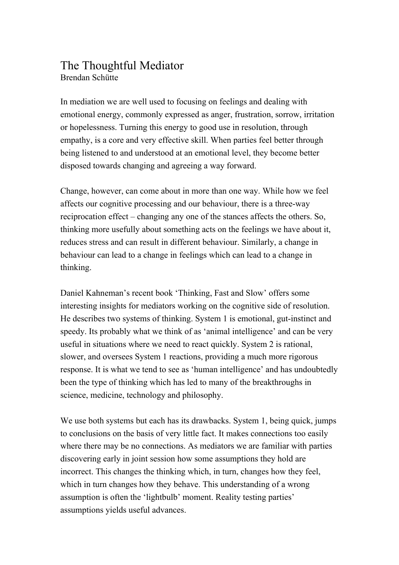## The Thoughtful Mediator Brendan Schütte

In mediation we are well used to focusing on feelings and dealing with emotional energy, commonly expressed as anger, frustration, sorrow, irritation or hopelessness. Turning this energy to good use in resolution, through empathy, is a core and very effective skill. When parties feel better through being listened to and understood at an emotional level, they become better disposed towards changing and agreeing a way forward.

Change, however, can come about in more than one way. While how we feel affects our cognitive processing and our behaviour, there is a threeway reciprocation effect – changing any one of the stances affects the others. So, thinking more usefully about something acts on the feelings we have about it, reduces stress and can result in different behaviour. Similarly, a change in behaviour can lead to a change in feelings which can lead to a change in thinking.

Daniel Kahneman's recent book 'Thinking, Fast and Slow' offers some interesting insights for mediators working on the cognitive side of resolution. He describes two systems of thinking. System 1 is emotional, gut-instinct and speedy. Its probably what we think of as 'animal intelligence' and can be very useful in situations where we need to react quickly. System 2 is rational, slower, and oversees System 1 reactions, providing a much more rigorous response. It is what we tend to see as 'human intelligence' and has undoubtedly been the type of thinking which has led to many of the breakthroughs in science, medicine, technology and philosophy.

We use both systems but each has its drawbacks. System 1, being quick, jumps to conclusions on the basis of very little fact. It makes connections too easily where there may be no connections. As mediators we are familiar with parties discovering early in joint session how some assumptions they hold are incorrect. This changes the thinking which, in turn, changes how they feel, which in turn changes how they behave. This understanding of a wrong assumption is often the 'lightbulb' moment. Reality testing parties' assumptions yields useful advances.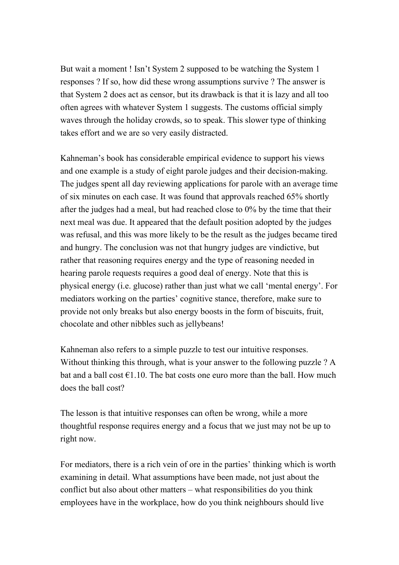But wait a moment ! Isn't System 2 supposed to be watching the System 1 responses ? If so, how did these wrong assumptions survive ? The answer is that System 2 does act as censor, but its drawback is that it is lazy and all too often agrees with whatever System 1 suggests. The customs official simply waves through the holiday crowds, so to speak. This slower type of thinking takes effort and we are so very easily distracted.

Kahneman's book has considerable empirical evidence to support his views and one example is a study of eight parole judges and their decision-making. The judges spent all day reviewing applications for parole with an average time of six minutes on each case. It was found that approvals reached 65% shortly after the judges had a meal, but had reached close to 0% by the time that their next meal was due. It appeared that the default position adopted by the judges was refusal, and this was more likely to be the result as the judges became tired and hungry. The conclusion was not that hungry judges are vindictive, but rather that reasoning requires energy and the type of reasoning needed in hearing parole requests requires a good deal of energy. Note that this is physical energy (i.e. glucose) rather than just what we call 'mental energy'. For mediators working on the parties' cognitive stance, therefore, make sure to provide not only breaks but also energy boosts in the form of biscuits, fruit, chocolate and other nibbles such as jellybeans!

Kahneman also refers to a simple puzzle to test our intuitive responses. Without thinking this through, what is your answer to the following puzzle ? A bat and a ball cost  $\epsilon$ 1.10. The bat costs one euro more than the ball. How much does the ball cost?

The lesson is that intuitive responses can often be wrong, while a more thoughtful response requires energy and a focus that we just may not be up to right now.

For mediators, there is a rich vein of ore in the parties' thinking which is worth examining in detail. What assumptions have been made, not just about the conflict but also about other matters – what responsibilities do you think employees have in the workplace, how do you think neighbours should live